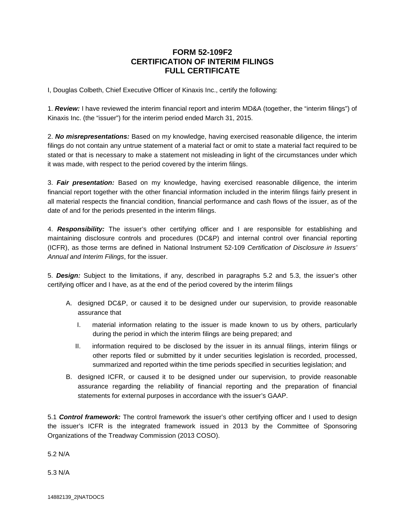## **FORM 52-109F2 CERTIFICATION OF INTERIM FILINGS FULL CERTIFICATE**

I, Douglas Colbeth, Chief Executive Officer of Kinaxis Inc., certify the following:

1. *Review:* I have reviewed the interim financial report and interim MD&A (together, the "interim filings") of Kinaxis Inc. (the "issuer") for the interim period ended March 31, 2015.

2. *No misrepresentations:* Based on my knowledge, having exercised reasonable diligence, the interim filings do not contain any untrue statement of a material fact or omit to state a material fact required to be stated or that is necessary to make a statement not misleading in light of the circumstances under which it was made, with respect to the period covered by the interim filings.

3. *Fair presentation:* Based on my knowledge, having exercised reasonable diligence, the interim financial report together with the other financial information included in the interim filings fairly present in all material respects the financial condition, financial performance and cash flows of the issuer, as of the date of and for the periods presented in the interim filings.

4. *Responsibility:* The issuer's other certifying officer and I are responsible for establishing and maintaining disclosure controls and procedures (DC&P) and internal control over financial reporting (ICFR), as those terms are defined in National Instrument 52-109 *Certification of Disclosure in Issuers' Annual and Interim Filings*, for the issuer.

5. *Design:* Subject to the limitations, if any, described in paragraphs 5.2 and 5.3, the issuer's other certifying officer and I have, as at the end of the period covered by the interim filings

- A. designed DC&P, or caused it to be designed under our supervision, to provide reasonable assurance that
	- I. material information relating to the issuer is made known to us by others, particularly during the period in which the interim filings are being prepared; and
	- II. information required to be disclosed by the issuer in its annual filings, interim filings or other reports filed or submitted by it under securities legislation is recorded, processed, summarized and reported within the time periods specified in securities legislation; and
- B. designed ICFR, or caused it to be designed under our supervision, to provide reasonable assurance regarding the reliability of financial reporting and the preparation of financial statements for external purposes in accordance with the issuer's GAAP.

5.1 *Control framework:* The control framework the issuer's other certifying officer and I used to design the issuer's ICFR is the integrated framework issued in 2013 by the Committee of Sponsoring Organizations of the Treadway Commission (2013 COSO).

5.2 N/A

5.3 N/A